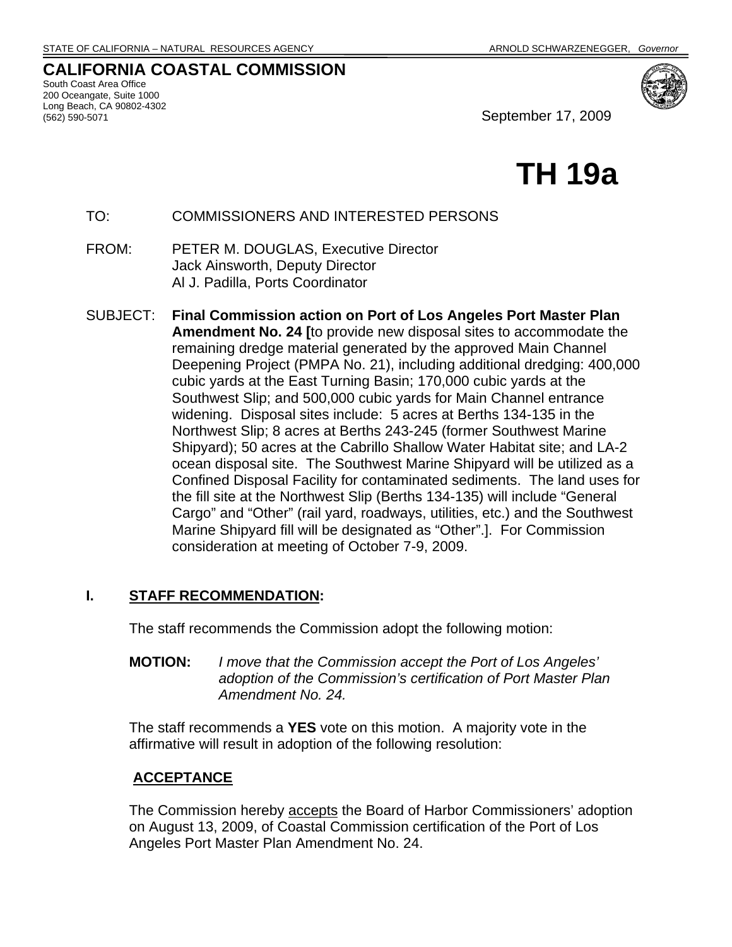# **CALIFORNIA COASTAL COMMISSION**

South Coast Area Office 200 Oceangate, Suite 1000 Long Beach, CA 90802-4302



September 17, 2009

# **TH 19a**

TO: COMMISSIONERS AND INTERESTED PERSONS

- FROM: PETER M. DOUGLAS, Executive Director Jack Ainsworth, Deputy Director Al J. Padilla, Ports Coordinator
- SUBJECT: **Final Commission action on Port of Los Angeles Port Master Plan Amendment No. 24 [**to provide new disposal sites to accommodate the remaining dredge material generated by the approved Main Channel Deepening Project (PMPA No. 21), including additional dredging: 400,000 cubic yards at the East Turning Basin; 170,000 cubic yards at the Southwest Slip; and 500,000 cubic yards for Main Channel entrance widening. Disposal sites include: 5 acres at Berths 134-135 in the Northwest Slip; 8 acres at Berths 243-245 (former Southwest Marine Shipyard); 50 acres at the Cabrillo Shallow Water Habitat site; and LA-2 ocean disposal site. The Southwest Marine Shipyard will be utilized as a Confined Disposal Facility for contaminated sediments. The land uses for the fill site at the Northwest Slip (Berths 134-135) will include "General Cargo" and "Other" (rail yard, roadways, utilities, etc.) and the Southwest Marine Shipyard fill will be designated as "Other".]. For Commission consideration at meeting of October 7-9, 2009.

# **I. STAFF RECOMMENDATION:**

The staff recommends the Commission adopt the following motion:

**MOTION:** *I move that the Commission accept the Port of Los Angeles' adoption of the Commission's certification of Port Master Plan Amendment No. 24.*

The staff recommends a **YES** vote on this motion. A majority vote in the affirmative will result in adoption of the following resolution:

# **ACCEPTANCE**

The Commission hereby accepts the Board of Harbor Commissioners' adoption on August 13, 2009, of Coastal Commission certification of the Port of Los Angeles Port Master Plan Amendment No. 24.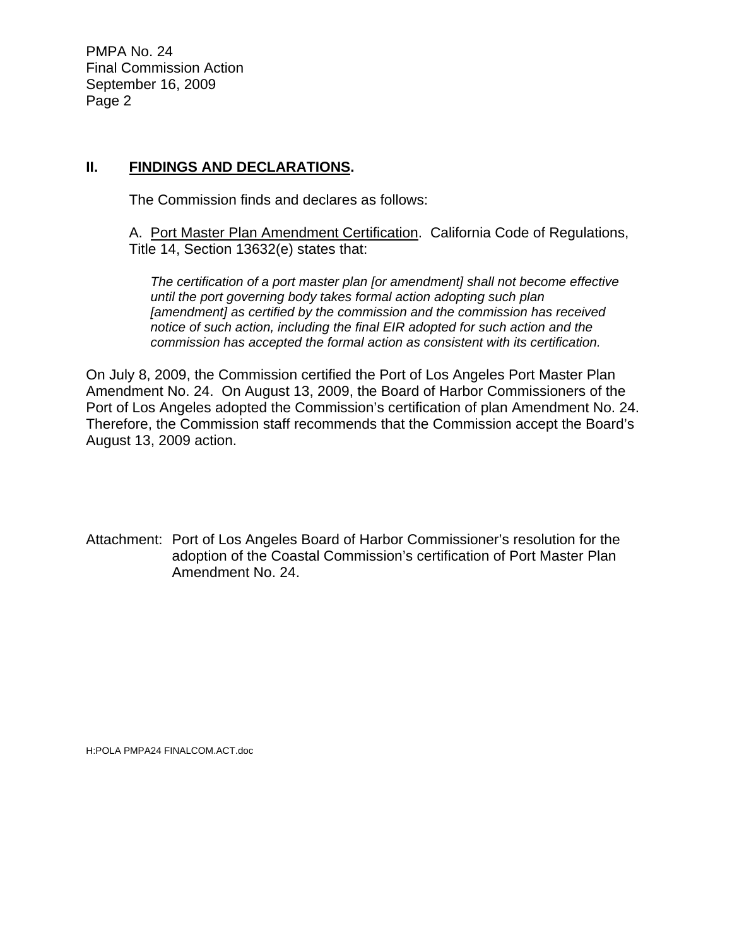PMPA No. 24 Final Commission Action September 16, 2009 Page 2

# **II. FINDINGS AND DECLARATIONS.**

The Commission finds and declares as follows:

A. Port Master Plan Amendment Certification. California Code of Regulations, Title 14, Section 13632(e) states that:

*The certification of a port master plan [or amendment] shall not become effective until the port governing body takes formal action adopting such plan [amendment] as certified by the commission and the commission has received notice of such action, including the final EIR adopted for such action and the commission has accepted the formal action as consistent with its certification.* 

On July 8, 2009, the Commission certified the Port of Los Angeles Port Master Plan Amendment No. 24. On August 13, 2009, the Board of Harbor Commissioners of the Port of Los Angeles adopted the Commission's certification of plan Amendment No. 24. Therefore, the Commission staff recommends that the Commission accept the Board's August 13, 2009 action.

Attachment: Port of Los Angeles Board of Harbor Commissioner's resolution for the adoption of the Coastal Commission's certification of Port Master Plan Amendment No. 24.

H:POLA PMPA24 FINALCOM.ACT.doc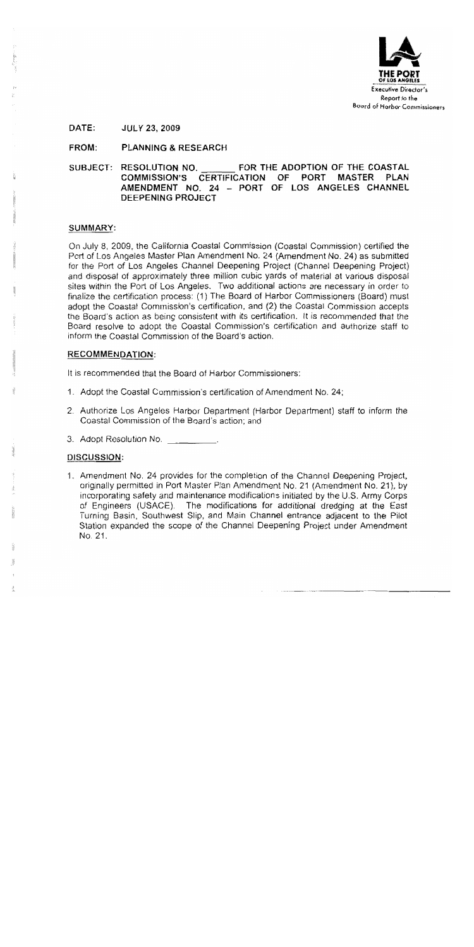

#### FROM: **PLANNING & RESEARCH**

FOR THE ADOPTION OF THE COASTAL SUBJECT: RESOLUTION NO. COMMISSION'S CERTIFICATION OF **PORT MASTER PLAN** AMENDMENT NO. 24 - PORT OF LOS ANGELES CHANNEL DEEPENING PROJECT

# SUMMARY:

On July 8, 2009, the California Coastal Commission (Coastal Commission) certified the Port of Los Angeles Master Plan Amendment No. 24 (Amendment No. 24) as submitted for the Port of Los Angeles Channel Deepening Project (Channel Deepening Project) and disposal of approximately three million cubic yards of material at various disposal sites within the Port of Los Angeles. Two additional actions are necessary in order to finalize the certification process: (1) The Board of Harbor Commissioners (Board) must adopt the Coastal Commission's certification, and (2) the Coastal Commission accepts the Board's action as being consistent with its certification. It is recommended that the Board resolve to adopt the Coastal Commission's certification and authorize staff to inform the Coastal Commission of the Board's action.

# RECOMMENDATION:

It is recommended that the Board of Harbor Commissioners:

- 1. Adopt the Coastal Commission's certification of Amendment No. 24:
- 2. Authorize Los Angeles Harbor Department (Harbor Department) staff to inform the Coastal Commission of the Board's action; and
- 3. Adopt Resolution No.

# DISCUSSION:

1. Amendment No. 24 provides for the completion of the Channel Deepening Project, originally permitted in Port Master Plan Amendment No. 21 (Amendment No. 21), by incorporating safety and maintenance modifications initiated by the U.S. Army Corps of Engineers (USACE). The modifications for additional dredging at the East Turning Basin, Southwest Slip, and Main Channel entrance adjacent to the Pilot Station expanded the scope of the Channel Deepening Project under Amendment No. 21.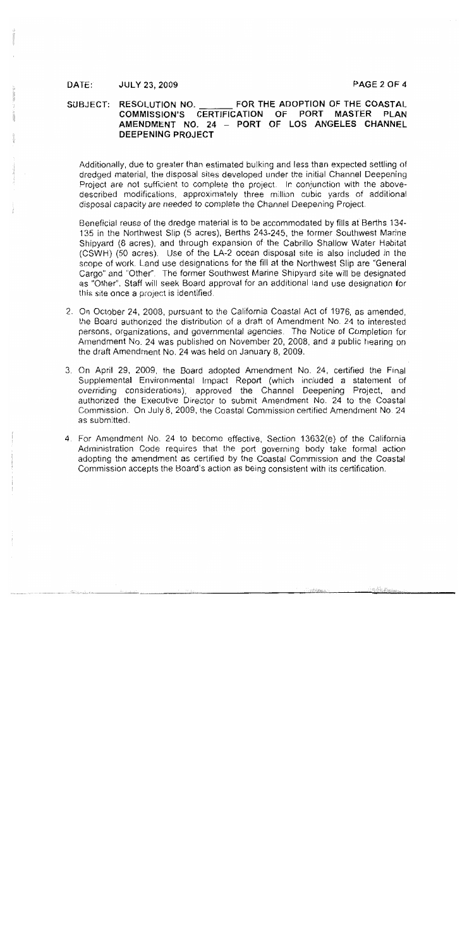#### SUBJECT: RESOLUTION NO. FOR THE ADOPTION OF THE COASTAL COMMISSION'S CERTIFICATION OF PORT MASTER PLAN AMENDMENT NO. 24 - PORT OF LOS ANGELES CHANNEL **DEEPENING PROJECT**

Additionally, due to greater than estimated bulking and less than expected settling of dredged material, the disposal sites developed under the initial Channel Deepening Project are not sufficient to complete the project. In conjunction with the abovedescribed modifications, approximately three million cubic yards of additional disposal capacity are needed to complete the Channel Deepening Project.

Beneficial reuse of the dredge material is to be accommodated by fills at Berths 134-135 in the Northwest Slip (5 acres), Berths 243-245, the former Southwest Marine Shipyard (8 acres), and through expansion of the Cabrillo Shallow Water Habitat (CSWH) (50 acres). Use of the LA-2 ocean disposal site is also included in the scope of work. Land use designations for the fill at the Northwest Slip are "General Cargo" and "Other". The former Southwest Marine Shipvard site will be designated as "Other". Staff will seek Board approval for an additional land use designation for this site once a project is identified.

- 2. On October 24, 2008, pursuant to the California Coastal Act of 1976, as amended. the Board authorized the distribution of a draft of Amendment No. 24 to interested persons, organizations, and governmental agencies. The Notice of Completion for Amendment No. 24 was published on November 20, 2008, and a public hearing on the draft Amendment No. 24 was held on January 8, 2009.
- 3. On April 29, 2009, the Board adopted Amendment No. 24, certified the Final Supplemental Environmental Impact Report (which included a statement of overriding considerations), approved the Channel Deepening Project, and authorized the Executive Director to submit Amendment No. 24 to the Coastal Commission. On July 8, 2009, the Coastal Commission certified Amendment No. 24 as submitted.
- 4. For Amendment No. 24 to become effective, Section 13632(e) of the California Administration Code requires that the port governing body take formal action adopting the amendment as certified by the Coastal Commission and the Coastal Commission accepts the Board's action as being consistent with its certification.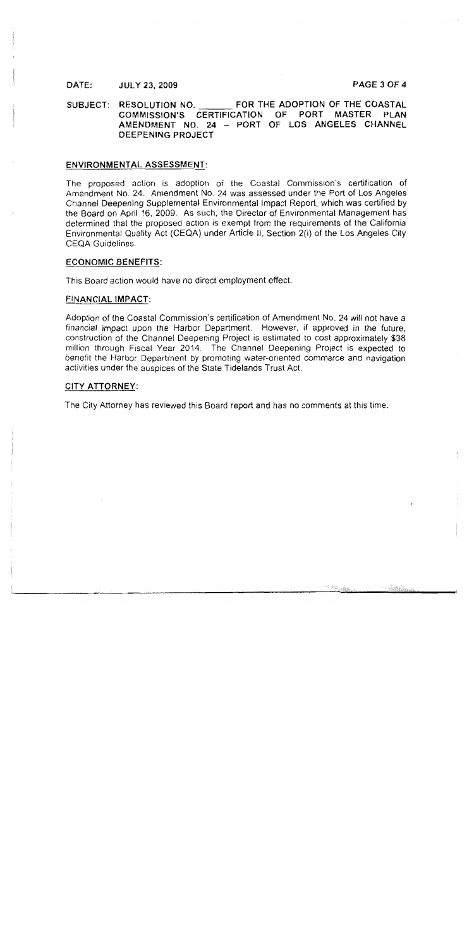### PAGE 3 OF 4

SUBJECT: RESOLUTION NO. FOR THE ADOPTION OF THE COASTAL COMMISSION'S CERTIFICATION OF PORT MASTER PLAN AMENDMENT NO. 24 - PORT OF LOS ANGELES CHANNEL DEEPENING PROJECT

## **ENVIRONMENTAL ASSESSMENT:**

The proposed action is adoption of the Coastal Commission's certification of Amendment No. 24. Amendment No. 24 was assessed under the Port of Los Angeles Channel Deepening Supplemental Environmental Impact Report, which was certified by the Board on April 16, 2009. As such, the Director of Environmental Management has determined that the proposed action is exempt from the requirements of the California Environmental Quality Act (CEQA) under Article II, Section 2(i) of the Los Angeles City **CEQA Guidelines.** 

### **ECONOMIC BENEFITS:**

This Board action would have no direct employment effect.

### **FINANCIAL IMPACT:**

Adoption of the Coastal Commission's certification of Amendment No. 24 will not have a financial impact upon the Harbor Department. However, if approved in the future, construction of the Channel Deepening Project is estimated to cost approximately \$38. million through Fiscal Year 2014. The Channel Deepening Project is expected to benefit the Harbor Department by promoting water-oriented commerce and navigation activities under the auspices of the State Tidelands Trust Act.

### **CITY ATTORNEY:**

The City Attorney has reviewed this Board report and has no comments at this time.